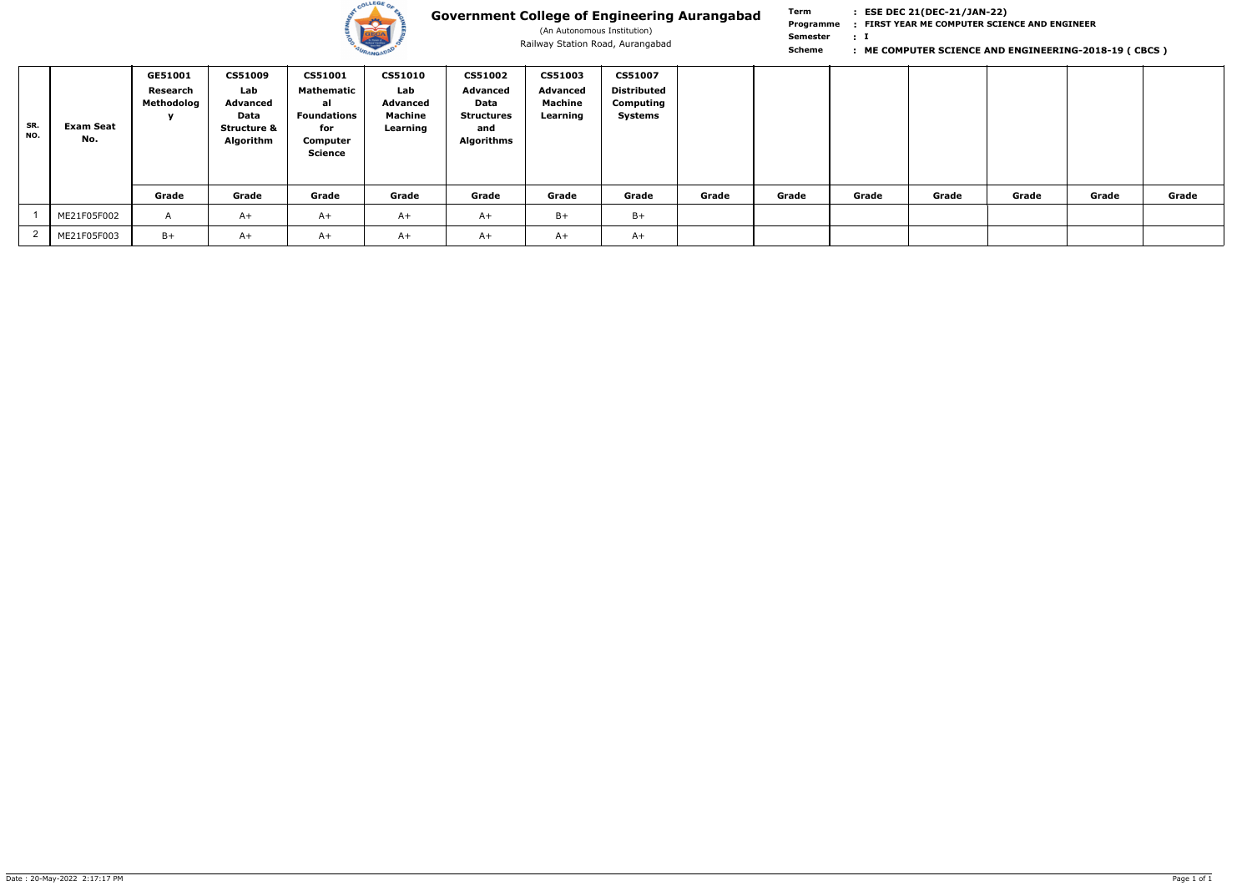

(An Autonomous Institution)

**Term Scheme FIRST YEAR ME COMPUTER SCIENCE AND ENGINEER Programme : I : Semester :**

| SR.<br>NO. | <b>Exam Seat</b><br>No. | GE51001<br>Research<br><b>Methodolog</b> | <b>CS51009</b><br>Lab<br><b>Advanced</b><br>Data<br><b>Structure &amp;</b><br>Algorithm | <b>CS51001</b><br>Mathematic<br>al<br>Foundations<br>for<br>Computer<br>Science | <b>CS51010</b><br>Lab<br><b>Advanced</b><br>Machine<br>Learning | <b>CS51002</b><br>Advanced<br>Data<br><b>Structures</b><br>and<br><b>Algorithms</b> | <b>CS51003</b><br>Advanced<br><b>Machine</b><br>Learning | <b>CS51007</b><br>Distributed<br>Computing<br><b>Systems</b> |       |       |       |       |       |       |       |
|------------|-------------------------|------------------------------------------|-----------------------------------------------------------------------------------------|---------------------------------------------------------------------------------|-----------------------------------------------------------------|-------------------------------------------------------------------------------------|----------------------------------------------------------|--------------------------------------------------------------|-------|-------|-------|-------|-------|-------|-------|
|            |                         | Grade                                    | Grade                                                                                   | Grade                                                                           | Grade                                                           | Grade                                                                               | Grade                                                    | Grade                                                        | Grade | Grade | Grade | Grade | Grade | Grade | Grade |
|            | ME21F05F002             | $\mathsf{A}$                             | $A+$                                                                                    | $A+$                                                                            | $A+$                                                            | $A+$                                                                                | $B+$                                                     | $B+$                                                         |       |       |       |       |       |       |       |
|            | ME21F05F003             | $B+$                                     | $A+$                                                                                    | $A+$                                                                            | $A+$                                                            | $A+$                                                                                | $A+$                                                     | $A+$                                                         |       |       |       |       |       |       |       |

### Railway Station Road, Aurangabad **by Scheme Computer Science AND ENGINEERING-2018-19 ( CBCS )** Railway Station Road, Aurangabad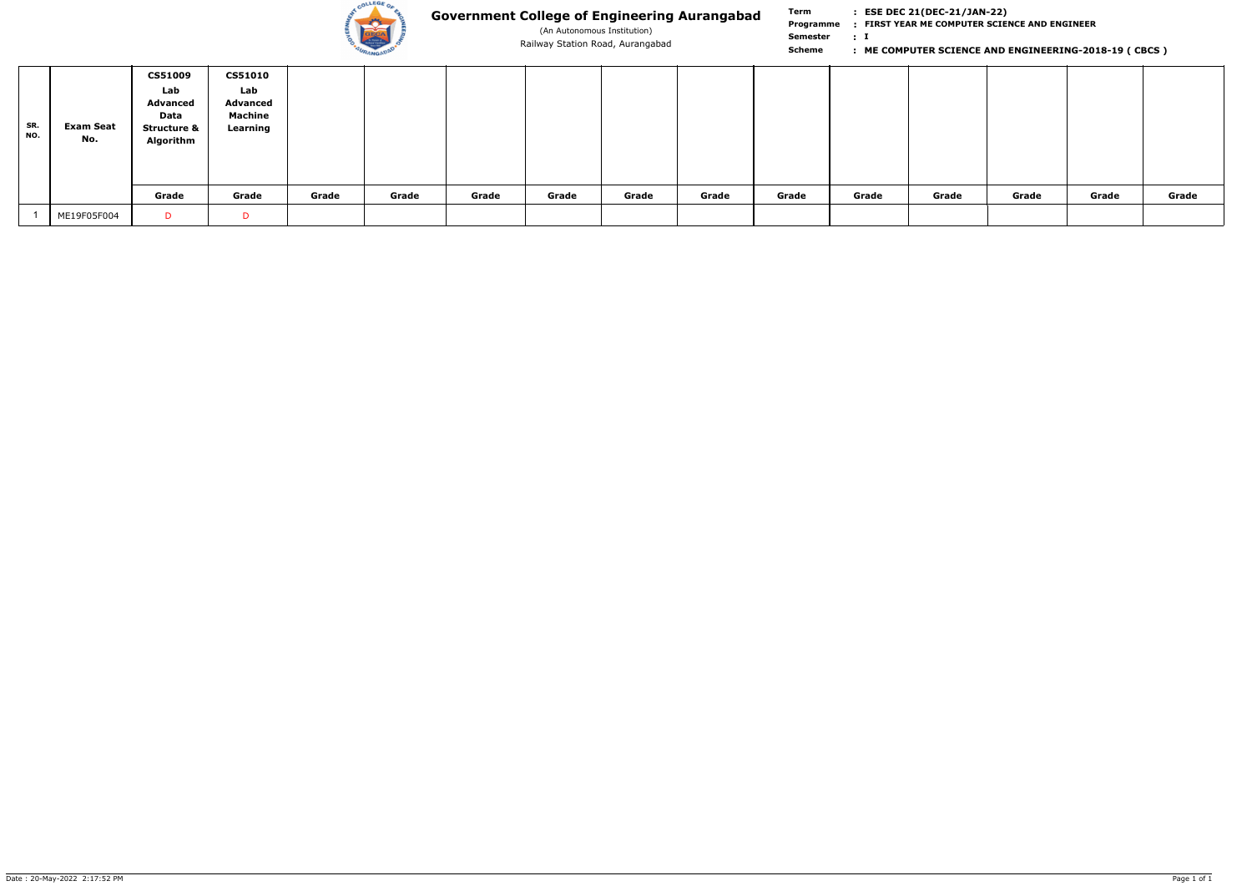

(An Autonomous Institution)

**Term Scheme FIRST YEAR ME COMPUTER SCIENCE AND ENGINEER Programme : I : Semester :**

| SR.<br>NO. | Exam Seat<br>No. | <b>CS51009</b><br>Lab<br><b>Advanced</b><br>Data<br><b>Structure &amp;</b><br>Algorithm | <b>CS51010</b><br>Lab<br><b>Advanced</b><br>Machine<br>Learning |       |       |       |       |       |       |       |       |       |       |       |       |
|------------|------------------|-----------------------------------------------------------------------------------------|-----------------------------------------------------------------|-------|-------|-------|-------|-------|-------|-------|-------|-------|-------|-------|-------|
|            |                  | Grade                                                                                   | Grade                                                           | Grade | Grade | Grade | Grade | Grade | Grade | Grade | Grade | Grade | Grade | Grade | Grade |
|            | ME19F05F004      | D                                                                                       |                                                                 |       |       |       |       |       |       |       |       |       |       |       |       |

### Railway Station Road, Aurangabad **by Scheme Computer Science AND ENGINEERING-2018-19 ( CBCS )** Railway Station Road, Aurangabad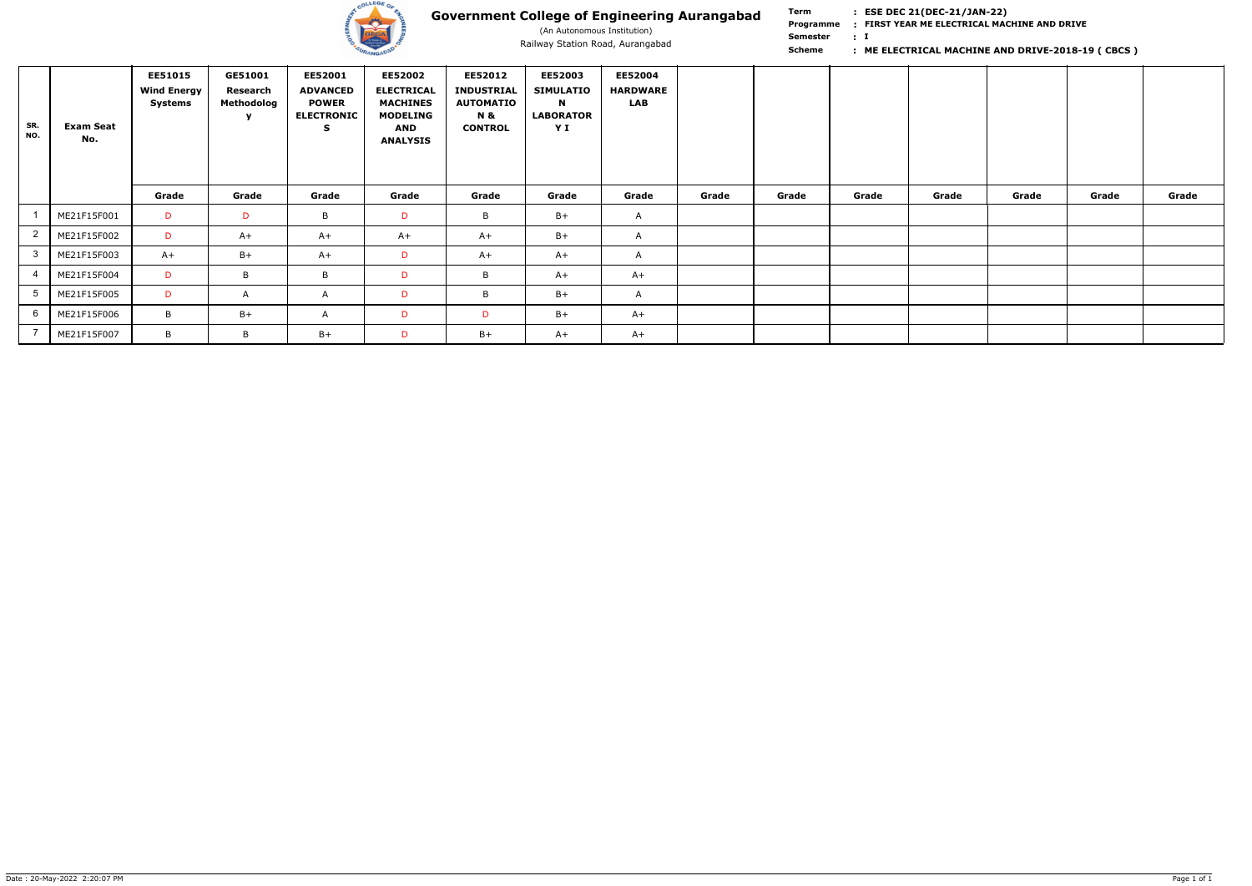

(An Autonomous Institution)

**Term Scheme FIRST YEAR ME ELECTRICAL MACHINE AND DRIVE Programme : I : Semester :**

| SR.<br>NO. | <b>Exam Seat</b><br>No. | <b>EE51015</b><br><b>Wind Energy</b><br>Systems | GE51001<br>Research<br>Methodolog<br><b>y</b> | EE52001<br><b>ADVANCED</b><br><b>POWER</b><br><b>ELECTRONIC</b><br><b>S</b> | EE52002<br><b>ELECTRICAL</b><br><b>MACHINES</b><br><b>MODELING</b><br>AND<br><b>ANALYSIS</b> | EE52012<br><b>INDUSTRIAL</b><br><b>AUTOMATIO</b><br><b>N &amp;</b><br><b>CONTROL</b> | EE52003<br><b>SIMULATIO</b><br>$\mathbf N$<br><b>LABORATOR</b><br>YI | EE52004<br><b>HARDWARE</b><br><b>LAB</b> |       |       |       |       |       |       |       |
|------------|-------------------------|-------------------------------------------------|-----------------------------------------------|-----------------------------------------------------------------------------|----------------------------------------------------------------------------------------------|--------------------------------------------------------------------------------------|----------------------------------------------------------------------|------------------------------------------|-------|-------|-------|-------|-------|-------|-------|
|            |                         | Grade                                           | Grade                                         | Grade                                                                       | Grade                                                                                        | Grade                                                                                | Grade                                                                | Grade                                    | Grade | Grade | Grade | Grade | Grade | Grade | Grade |
|            | ME21F15F001             | D                                               | D                                             | B                                                                           | D                                                                                            | B                                                                                    | $B+$                                                                 | $\mathsf{A}$                             |       |       |       |       |       |       |       |
|            | ME21F15F002             | D                                               | $A+$                                          | $A+$                                                                        | $A+$                                                                                         | $A+$                                                                                 | $B+$                                                                 | $\mathsf{A}$                             |       |       |       |       |       |       |       |
| 3          | ME21F15F003             | $A+$                                            | $B+$                                          | $A+$                                                                        | D                                                                                            | $A+$                                                                                 | $A+$                                                                 | $\mathsf{A}$                             |       |       |       |       |       |       |       |
|            | ME21F15F004             | D                                               | B                                             | B                                                                           | D                                                                                            | B                                                                                    | $A+$                                                                 | $A+$                                     |       |       |       |       |       |       |       |
| 5          | ME21F15F005             | D                                               | A                                             | $\mathsf{A}$                                                                | D                                                                                            | B                                                                                    | $B+$                                                                 | $\mathsf{A}$                             |       |       |       |       |       |       |       |
| 6          | ME21F15F006             | B                                               | $B+$                                          | $\mathsf{A}$                                                                | D                                                                                            | D                                                                                    | $B+$                                                                 | $A+$                                     |       |       |       |       |       |       |       |
|            | ME21F15F007             | B                                               | B                                             | $B+$                                                                        | D                                                                                            | $B+$                                                                                 | $A+$                                                                 | $A+$                                     |       |       |       |       |       |       |       |

### Railway Station Road, Aurangabad **Fisch Communist Communist Communist Communist Communist Communist Communist Communist Communist Communist Communist Communist Communist Communist Communist Communist Communist Communist Co**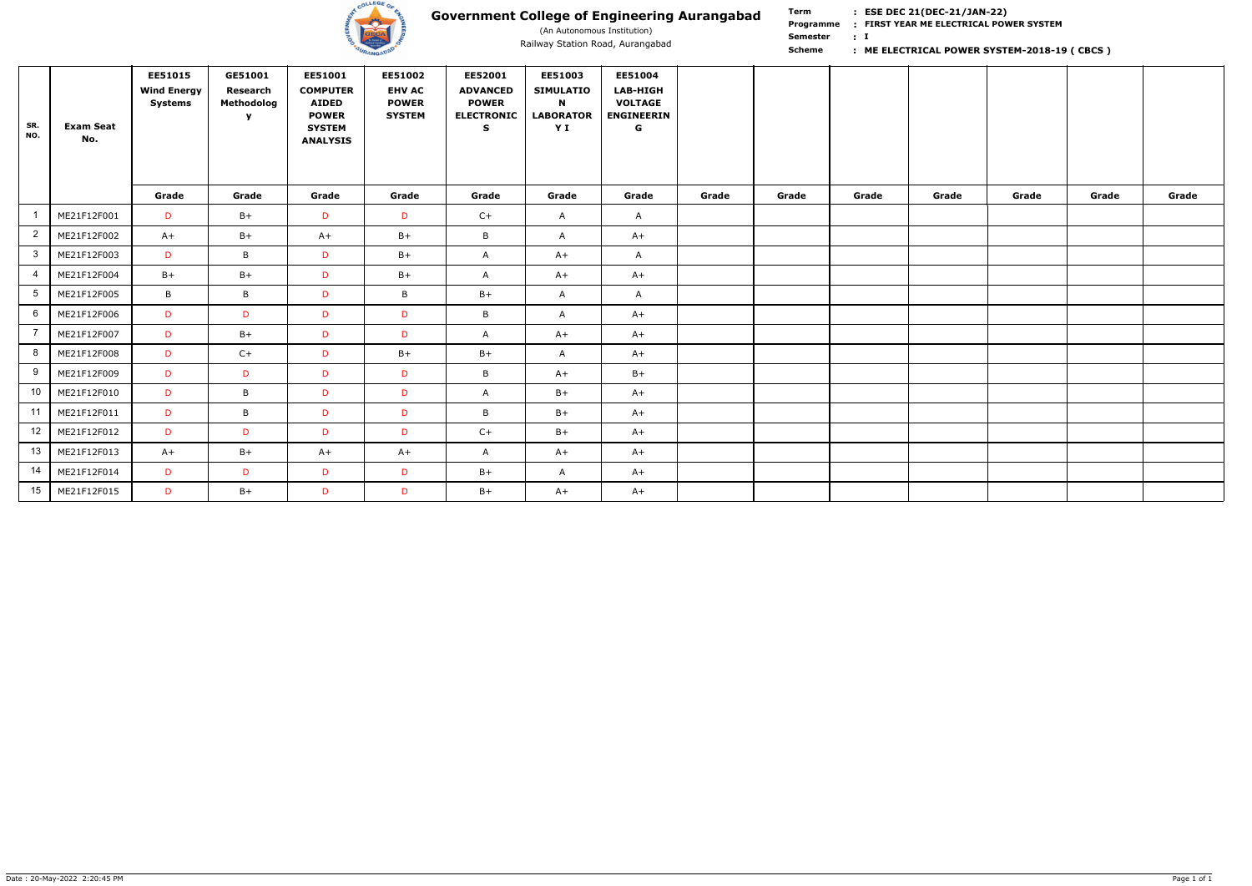

(An Autonomous Institution)

**Term Scheme FIRST YEAR ME ELECTRICAL POWER SYSTEM Programme : I : Semester :**

| SR.<br>NO.      | <b>Exam Seat</b><br>No. | EE51015<br><b>Wind Energy</b><br><b>Systems</b> | GE51001<br>Research<br>Methodolog<br><b>Y</b> | EE51001<br><b>COMPUTER</b><br><b>AIDED</b><br><b>POWER</b><br><b>SYSTEM</b><br><b>ANALYSIS</b> | EE51002<br><b>EHV AC</b><br><b>POWER</b><br><b>SYSTEM</b> | EE52001<br><b>ADVANCED</b><br><b>POWER</b><br><b>ELECTRONIC</b><br>S. | EE51003<br><b>SIMULATIO</b><br>$\blacksquare$<br><b>LABORATOR</b><br>YI | EE51004<br><b>LAB-HIGH</b><br><b>VOLTAGE</b><br><b>ENGINEERIN</b><br>G |       |       |       |       |       |       |       |
|-----------------|-------------------------|-------------------------------------------------|-----------------------------------------------|------------------------------------------------------------------------------------------------|-----------------------------------------------------------|-----------------------------------------------------------------------|-------------------------------------------------------------------------|------------------------------------------------------------------------|-------|-------|-------|-------|-------|-------|-------|
|                 |                         | Grade                                           | Grade                                         | Grade                                                                                          | Grade                                                     | Grade                                                                 | Grade                                                                   | Grade                                                                  | Grade | Grade | Grade | Grade | Grade | Grade | Grade |
|                 | ME21F12F001             | $\mathsf{D}$                                    | $B+$                                          | D                                                                                              | D                                                         | $C+$                                                                  | $\mathsf{A}$                                                            | $\mathsf{A}$                                                           |       |       |       |       |       |       |       |
| $\overline{2}$  | ME21F12F002             | $A+$                                            | $B+$                                          | $A+$                                                                                           | $B+$                                                      | B                                                                     | $\mathsf{A}$                                                            | $A+$                                                                   |       |       |       |       |       |       |       |
| 3 <sup>1</sup>  | ME21F12F003             | D                                               | B                                             | D                                                                                              | $B+$                                                      | A                                                                     | $A+$                                                                    | $\mathsf{A}$                                                           |       |       |       |       |       |       |       |
|                 | ME21F12F004             | $B+$                                            | $B+$                                          | D                                                                                              | $B+$                                                      | $\mathsf{A}$                                                          | $A+$                                                                    | $A+$                                                                   |       |       |       |       |       |       |       |
| $5\overline{)}$ | ME21F12F005             | B                                               | $\mathsf B$                                   | D                                                                                              | B                                                         | $B+$                                                                  | A                                                                       | $\mathsf{A}$                                                           |       |       |       |       |       |       |       |
| 6               | ME21F12F006             | D                                               | D                                             | D                                                                                              | D.                                                        | $\mathsf{B}$                                                          | A                                                                       | $A+$                                                                   |       |       |       |       |       |       |       |
|                 | ME21F12F007             | $\mathsf{D}$                                    | $B+$                                          | D                                                                                              | D                                                         | A                                                                     | $A+$                                                                    | $A+$                                                                   |       |       |       |       |       |       |       |
| 8               | ME21F12F008             | D                                               | $C+$                                          | D                                                                                              | $B+$                                                      | $B+$                                                                  | A                                                                       | $A+$                                                                   |       |       |       |       |       |       |       |
| 9               | ME21F12F009             | D                                               | D                                             | D                                                                                              | D                                                         | B                                                                     | $A+$                                                                    | $B+$                                                                   |       |       |       |       |       |       |       |
| 10 <sup>°</sup> | ME21F12F010             | D                                               | $\mathsf B$                                   | D                                                                                              | D                                                         | A                                                                     | $B+$                                                                    | $A+$                                                                   |       |       |       |       |       |       |       |
| 11              | ME21F12F011             | $\mathsf{D}$                                    | B                                             | D                                                                                              | D                                                         | B                                                                     | $B+$                                                                    | $A+$                                                                   |       |       |       |       |       |       |       |
| 12              | ME21F12F012             | D                                               | $\mathsf{D}$                                  | D                                                                                              | D                                                         | $C+$                                                                  | $B+$                                                                    | $A+$                                                                   |       |       |       |       |       |       |       |
| 13              | ME21F12F013             | $A+$                                            | $B+$                                          | $A+$                                                                                           | $A+$                                                      | A                                                                     | $A+$                                                                    | $A+$                                                                   |       |       |       |       |       |       |       |
| 14              | ME21F12F014             | D                                               | D                                             | D                                                                                              | D                                                         | $B+$                                                                  | A                                                                       | $A+$                                                                   |       |       |       |       |       |       |       |
| 15              | ME21F12F015             | D                                               | $B+$                                          | D                                                                                              | D                                                         | $B+$                                                                  | $A+$                                                                    | $A+$                                                                   |       |       |       |       |       |       |       |

### Railway Station Road, Aurangabad **1996 Station Road, Aurangabad Scheme Railway Station Road, Aurangabad Scheme Reference Station Road, Aurangabad Scheme Reference Station Road, Aurangabad CBCS )**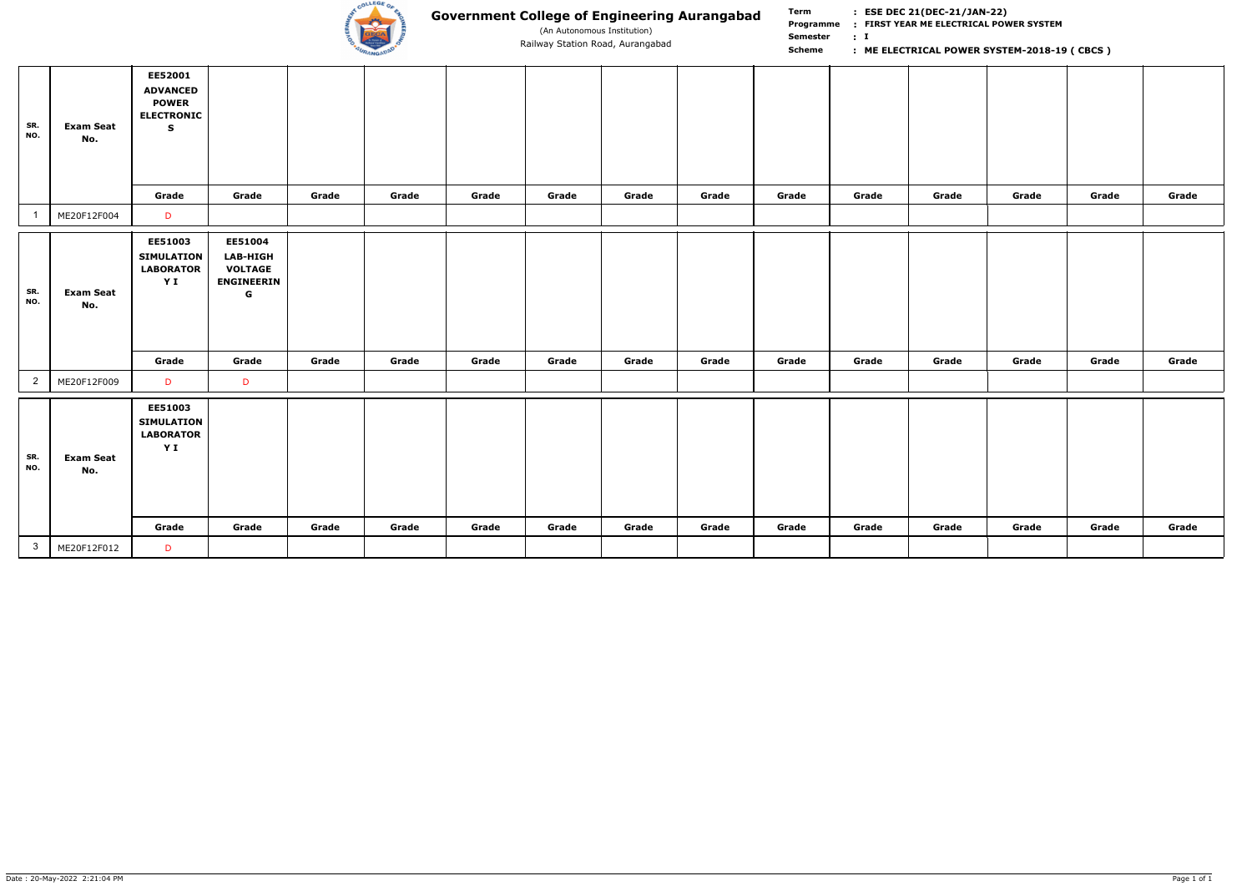

(An Autonomous Institution)

**Term Scheme FIRST YEAR ME ELECTRICAL POWER SYSTEM Programme : I : Semester :** Railway Station Road, Aurangabad **1996 Station Road, Aurangabad Scheme Railway Station Road, Aurangabad Scheme Reference Station Road, Aurangabad Scheme Reference Station Road, Aurangabad CBCS )** 

| SR.<br>NO.     | <b>Exam Seat</b><br>No. | EE52001<br><b>ADVANCED</b><br><b>POWER</b><br><b>ELECTRONIC</b><br>$\mathbf S$ |                                                                                  |       |       |       |       |       |       |       |       |       |       |       |       |
|----------------|-------------------------|--------------------------------------------------------------------------------|----------------------------------------------------------------------------------|-------|-------|-------|-------|-------|-------|-------|-------|-------|-------|-------|-------|
|                |                         | Grade                                                                          | Grade                                                                            | Grade | Grade | Grade | Grade | Grade | Grade | Grade | Grade | Grade | Grade | Grade | Grade |
| $\overline{1}$ | ME20F12F004             | $\mathsf{D}$                                                                   |                                                                                  |       |       |       |       |       |       |       |       |       |       |       |       |
| SR.<br>NO.     | <b>Exam Seat</b><br>No. | EE51003<br><b>SIMULATION</b><br><b>LABORATOR</b><br>YI                         | EE51004<br><b>LAB-HIGH</b><br><b>VOLTAGE</b><br><b>ENGINEERIN</b><br>$\mathbf G$ |       |       |       |       |       |       |       |       |       |       |       |       |
|                |                         | Grade                                                                          | Grade                                                                            | Grade | Grade | Grade | Grade | Grade | Grade | Grade | Grade | Grade | Grade | Grade | Grade |
| $\overline{2}$ | ME20F12F009             | D                                                                              | D                                                                                |       |       |       |       |       |       |       |       |       |       |       |       |
| SR.<br>NO.     | <b>Exam Seat</b><br>No. | <b>EE51003</b><br><b>SIMULATION</b><br><b>LABORATOR</b><br>YI                  |                                                                                  |       |       |       |       |       |       |       |       |       |       |       |       |
|                |                         | Grade                                                                          | Grade                                                                            | Grade | Grade | Grade | Grade | Grade | Grade | Grade | Grade | Grade | Grade | Grade | Grade |
| 3 <sup>1</sup> | ME20F12F012             | $\mathsf{D}$                                                                   |                                                                                  |       |       |       |       |       |       |       |       |       |       |       |       |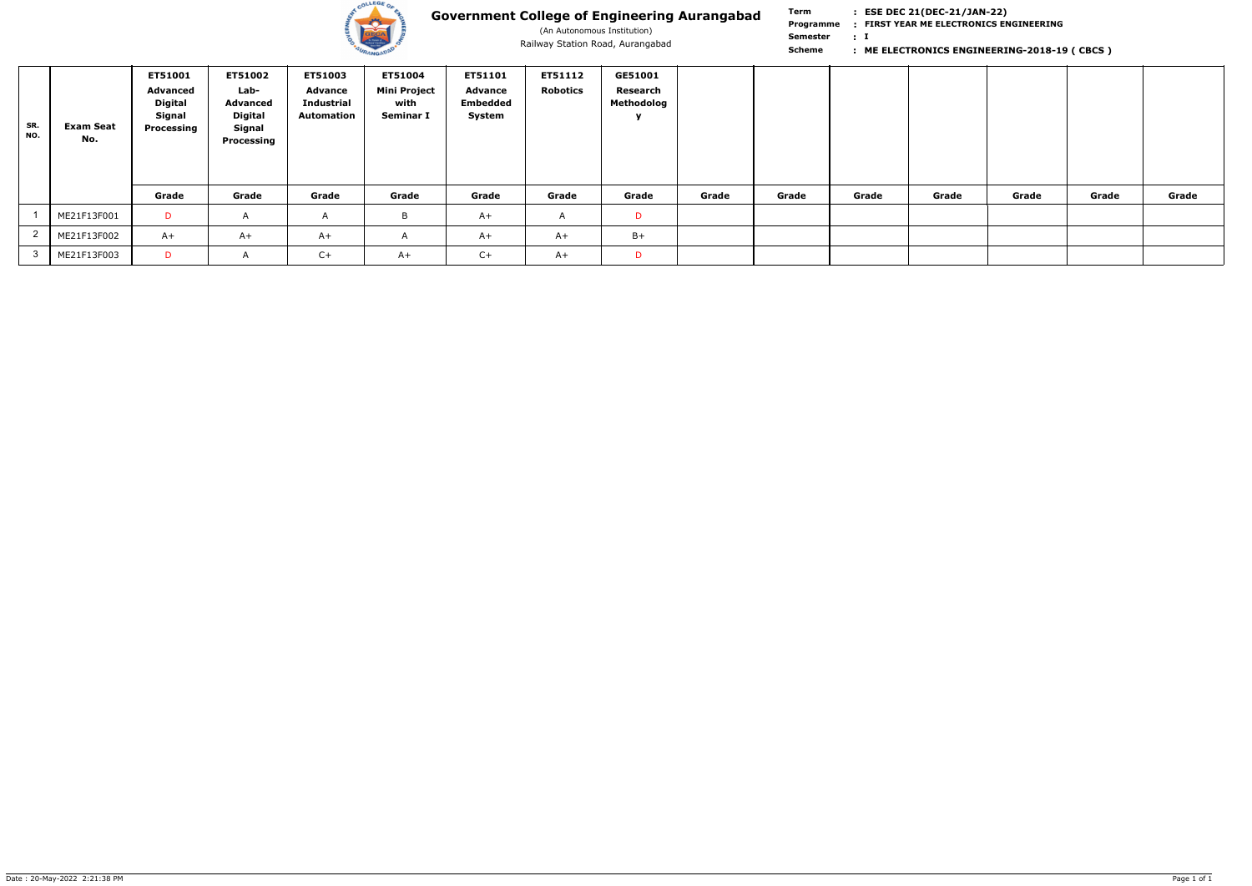

(An Autonomous Institution)

**Term Scheme FIRST YEAR ME ELECTRONICS ENGINEERING Programme : I : Semester :** Railway Station Road, Aurangabad<br> **Scheme Scheme Scheme ELECTRONICS ENGINEERING-2018-19 (CBCS)** 

| SR.<br>NO. | <b>Exam Seat</b><br>No. | ET51001<br><b>Advanced</b><br>Digital<br><b>Signal</b><br>Processing | <b>ET51002</b><br>Lab-<br>Advanced<br><b>Digital</b><br>Signal<br>Processing | ET51003<br><b>Advance</b><br><b>Industrial</b><br><b>Automation</b> | ET51004<br><b>Mini Project</b><br>with<br>Seminar I | ET51101<br><b>Advance</b><br><b>Embedded</b><br>System | <b>ET51112</b><br><b>Robotics</b> | GE51001<br>Research<br>Methodolog<br>$\mathbf{v}$ |       |       |       |       |       |       |       |
|------------|-------------------------|----------------------------------------------------------------------|------------------------------------------------------------------------------|---------------------------------------------------------------------|-----------------------------------------------------|--------------------------------------------------------|-----------------------------------|---------------------------------------------------|-------|-------|-------|-------|-------|-------|-------|
|            |                         | Grade                                                                | Grade                                                                        | Grade                                                               | Grade                                               | Grade                                                  | Grade                             | Grade                                             | Grade | Grade | Grade | Grade | Grade | Grade | Grade |
|            | ME21F13F001             | <b>D</b>                                                             | $\mathsf{A}$                                                                 | A                                                                   | B                                                   | $A+$                                                   | A                                 | D                                                 |       |       |       |       |       |       |       |
|            | ME21F13F002             | $A+$                                                                 | $A+$                                                                         | $A+$                                                                | $\mathsf{H}$                                        | $A+$                                                   | $A+$                              | $B+$                                              |       |       |       |       |       |       |       |
|            | ME21F13F003             | D                                                                    | $\overline{ }$                                                               | $C+$                                                                | $A+$                                                | $C+$                                                   | $A+$                              | D                                                 |       |       |       |       |       |       |       |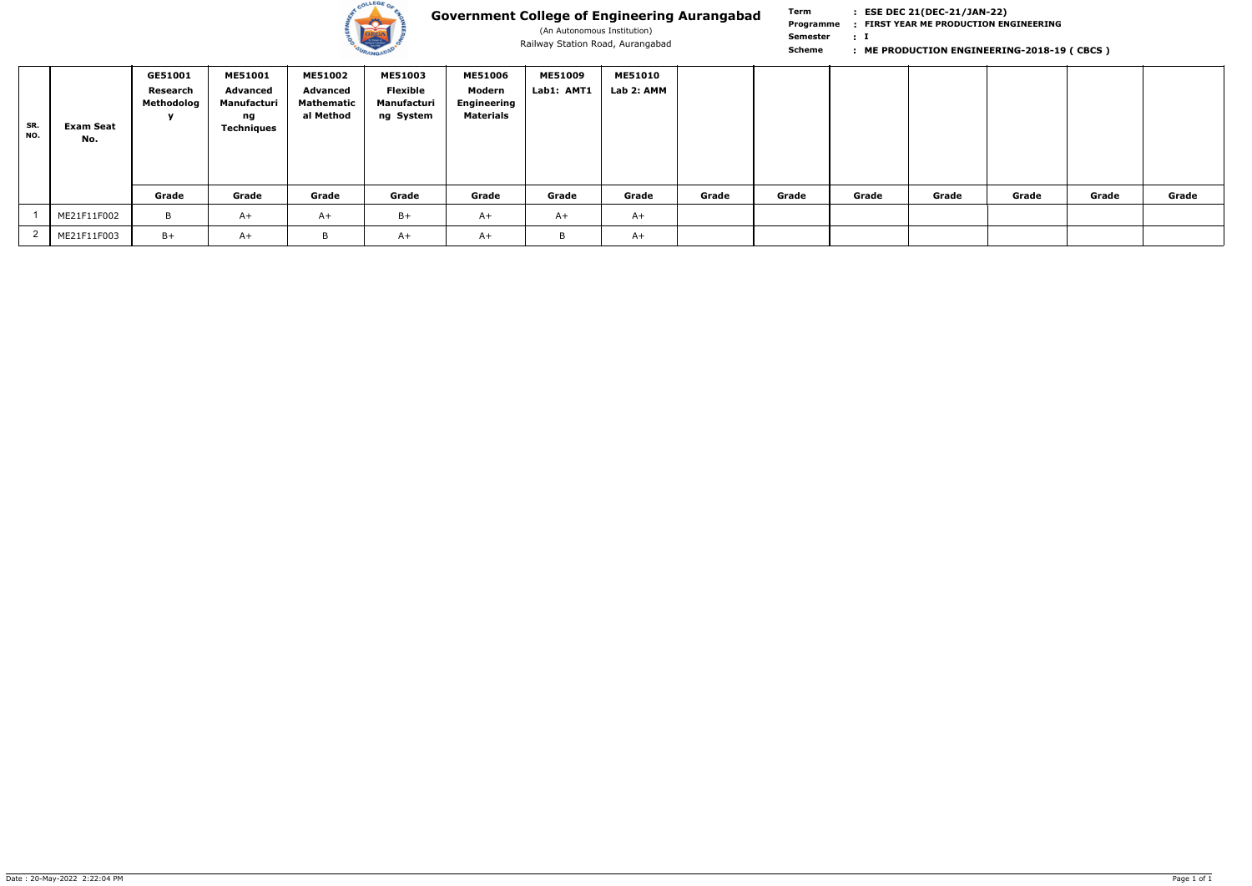

(An Autonomous Institution)

**Term Scheme FIRST YEAR ME PRODUCTION ENGINEERING Programme : I : Semester :** Railway Station Road, Aurangabad **1996 School Communist Communist Communist Care in the PRODUCTION ENGINEERING-2018-19 (CBCS )** 

| SR.<br>NO. | <b>Exam Seat</b><br>No. | GE51001<br>Research<br>Methodolog | <b>ME51001</b><br>Advanced<br>Manufacturi<br>ng<br><b>Techniques</b> | <b>ME51002</b><br>Advanced<br>Mathematic<br>al Method | <b>ME51003</b><br>Flexible<br>Manufacturi<br>ng System | <b>ME51006</b><br>Modern<br><b>Engineering</b><br><b>Materials</b> | <b>ME51009</b><br>Lab1: AMT1 | <b>ME51010</b><br>Lab 2: AMM |       |       |       |       |       |       |       |
|------------|-------------------------|-----------------------------------|----------------------------------------------------------------------|-------------------------------------------------------|--------------------------------------------------------|--------------------------------------------------------------------|------------------------------|------------------------------|-------|-------|-------|-------|-------|-------|-------|
|            |                         | Grade                             | Grade                                                                | Grade                                                 | Grade                                                  | Grade                                                              | Grade                        | Grade                        | Grade | Grade | Grade | Grade | Grade | Grade | Grade |
|            | ME21F11F002             | B                                 | $A+$                                                                 | $A+$                                                  | $B+$                                                   | $A+$                                                               | $A+$                         | $A+$                         |       |       |       |       |       |       |       |
|            | ME21F11F003             | $B+$                              | $A+$                                                                 |                                                       | A+                                                     | A+                                                                 | B                            | $A+$                         |       |       |       |       |       |       |       |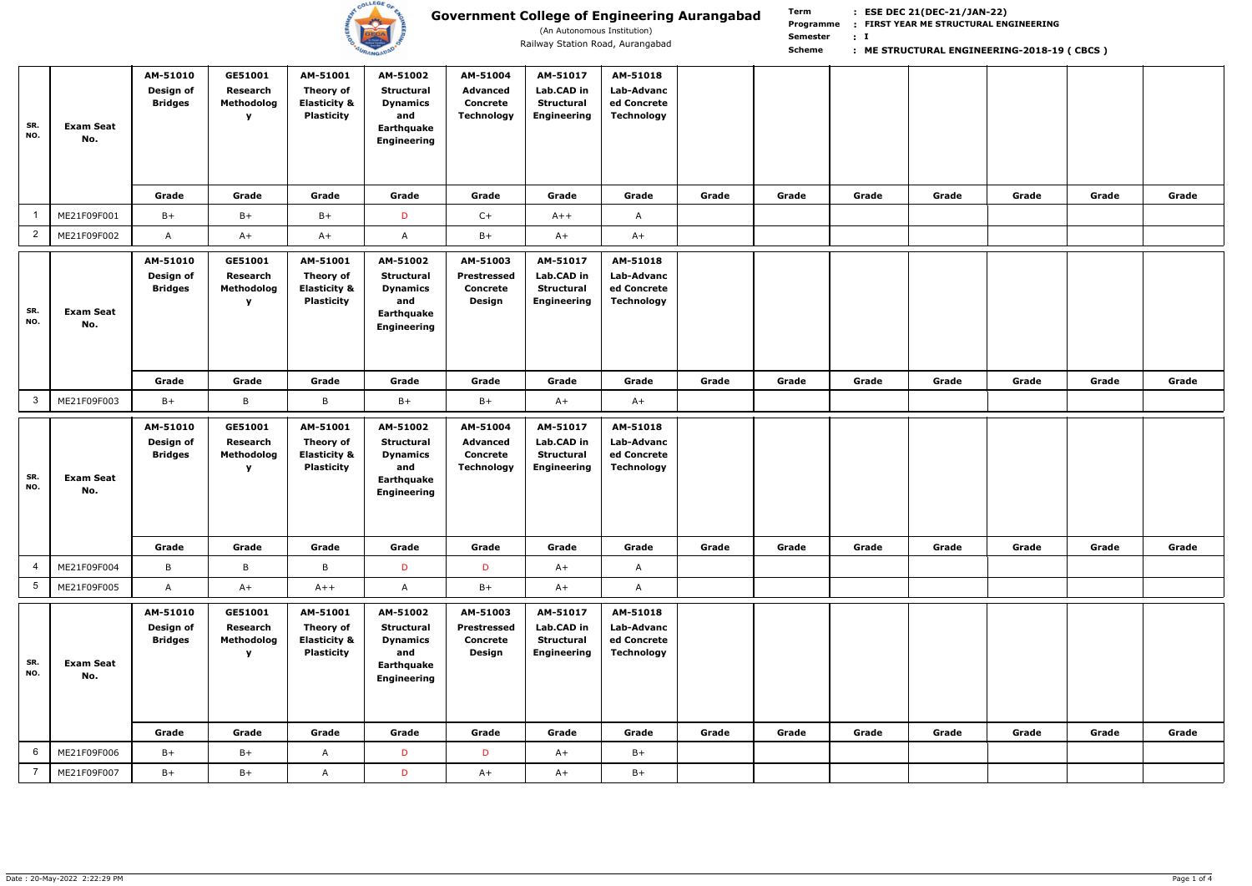

(An Autonomous Institution)

| SR.<br>NO.                   | <b>Exam Seat</b><br>No.                | AM-51010<br>Design of<br><b>Bridges</b>                 | GE51001<br>Research<br>Methodolog<br>$\mathbf{v}$ | AM-51001<br>Theory of<br><b>Elasticity &amp;</b><br><b>Plasticity</b>   | AM-51002<br><b>Structural</b><br><b>Dynamics</b><br>and<br>Earthquake<br><b>Engineering</b>                 | AM-51004<br><b>Advanced</b><br><b>Concrete</b><br><b>Technology</b> | AM-51017<br>Lab.CAD in<br><b>Structural</b><br><b>Engineering</b>  | AM-51018<br>Lab-Advanc<br>ed Concrete<br><b>Technology</b>                 |       |       |       |       |       |       |       |
|------------------------------|----------------------------------------|---------------------------------------------------------|---------------------------------------------------|-------------------------------------------------------------------------|-------------------------------------------------------------------------------------------------------------|---------------------------------------------------------------------|--------------------------------------------------------------------|----------------------------------------------------------------------------|-------|-------|-------|-------|-------|-------|-------|
|                              | ME21F09F001                            | Grade<br>$B+$                                           | Grade<br>$B+$                                     | Grade<br>$B+$                                                           | Grade<br>D                                                                                                  | Grade<br>$C+$                                                       | Grade<br>$A++$                                                     | Grade<br>$\mathsf{A}$                                                      | Grade | Grade | Grade | Grade | Grade | Grade | Grade |
| $\overline{2}$               | ME21F09F002                            | $\mathsf{A}$                                            | $A+$                                              | $A+$                                                                    | A                                                                                                           | $B+$                                                                | $A+$                                                               | $A+$                                                                       |       |       |       |       |       |       |       |
| SR.<br>NO.                   | <b>Exam Seat</b><br>No.                | AM-51010<br>Design of<br><b>Bridges</b>                 | GE51001<br>Research<br>Methodolog<br>y            | AM-51001<br>Theory of<br><b>Elasticity &amp;</b><br><b>Plasticity</b>   | AM-51002<br>Structural<br><b>Dynamics</b><br>and<br>Earthquake<br><b>Engineering</b>                        | AM-51003<br>Prestressed<br><b>Concrete</b><br>Design                | AM-51017<br>Lab.CAD in<br><b>Structural</b><br><b>Engineering</b>  | AM-51018<br>Lab-Advanc<br>ed Concrete<br><b>Technology</b>                 |       |       |       |       |       |       |       |
|                              |                                        | Grade                                                   | Grade                                             | Grade                                                                   | Grade                                                                                                       | Grade                                                               | Grade                                                              | Grade                                                                      | Grade | Grade | Grade | Grade | Grade | Grade | Grade |
| 3 <sup>1</sup>               | ME21F09F003                            | $B+$                                                    | B                                                 | B                                                                       | $B+$                                                                                                        | B+                                                                  | $A+$                                                               | $A+$                                                                       |       |       |       |       |       |       |       |
|                              |                                        |                                                         |                                                   |                                                                         |                                                                                                             |                                                                     |                                                                    |                                                                            |       |       |       |       |       |       |       |
| SR.<br>NO.                   | <b>Exam Seat</b><br>No.                | AM-51010<br>Design of<br><b>Bridges</b>                 | GE51001<br>Research<br>Methodolog<br>y            | AM-51001<br>Theory of<br><b>Elasticity &amp;</b><br><b>Plasticity</b>   | AM-51002<br><b>Structural</b><br><b>Dynamics</b><br>and<br>Earthquake<br><b>Engineering</b>                 | AM-51004<br><b>Advanced</b><br><b>Concrete</b><br><b>Technology</b> | AM-51017<br>Lab.CAD in<br><b>Structural</b><br><b>Engineering</b>  | AM-51018<br>Lab-Advanc<br>ed Concrete<br>Technology                        |       |       |       |       |       |       |       |
|                              |                                        | Grade                                                   | Grade                                             | Grade                                                                   | Grade                                                                                                       | Grade                                                               | Grade                                                              | Grade                                                                      | Grade | Grade | Grade | Grade | Grade | Grade | Grade |
| $\overline{4}$               | ME21F09F004                            | $\mathsf B$                                             | $\mathsf B$                                       | B                                                                       | D                                                                                                           | D                                                                   | $A+$                                                               | $\mathsf{A}$                                                               |       |       |       |       |       |       |       |
| 5 <sub>5</sub><br>SR.<br>NO. | ME21F09F005<br><b>Exam Seat</b><br>No. | $\mathsf{A}$<br>AM-51010<br>Design of<br><b>Bridges</b> | $A+$<br>GE51001<br>Research<br>Methodolog<br>y    | $A++$<br>AM-51001<br>Theory of<br><b>Elasticity &amp;</b><br>Plasticity | $\mathsf{A}$<br>AM-51002<br><b>Structural</b><br><b>Dynamics</b><br>and<br>Earthquake<br><b>Engineering</b> | $B+$<br>AM-51003<br><b>Prestressed</b><br><b>Concrete</b><br>Design | $A+$<br>AM-51017<br>Lab.CAD in<br>Structural<br><b>Engineering</b> | $\mathsf{A}$<br>AM-51018<br>Lab-Advanc<br>ed Concrete<br><b>Technology</b> |       |       |       |       |       |       |       |
|                              |                                        | Grade                                                   | Grade                                             | Grade                                                                   | Grade                                                                                                       | Grade                                                               | Grade                                                              | Grade                                                                      | Grade | Grade | Grade | Grade | Grade | Grade | Grade |
| 6                            | ME21F09F006                            | $B+$                                                    | $B+$                                              | $\mathsf{A}$                                                            | D                                                                                                           | D                                                                   | $A+$                                                               | $B+$                                                                       |       |       |       |       |       |       |       |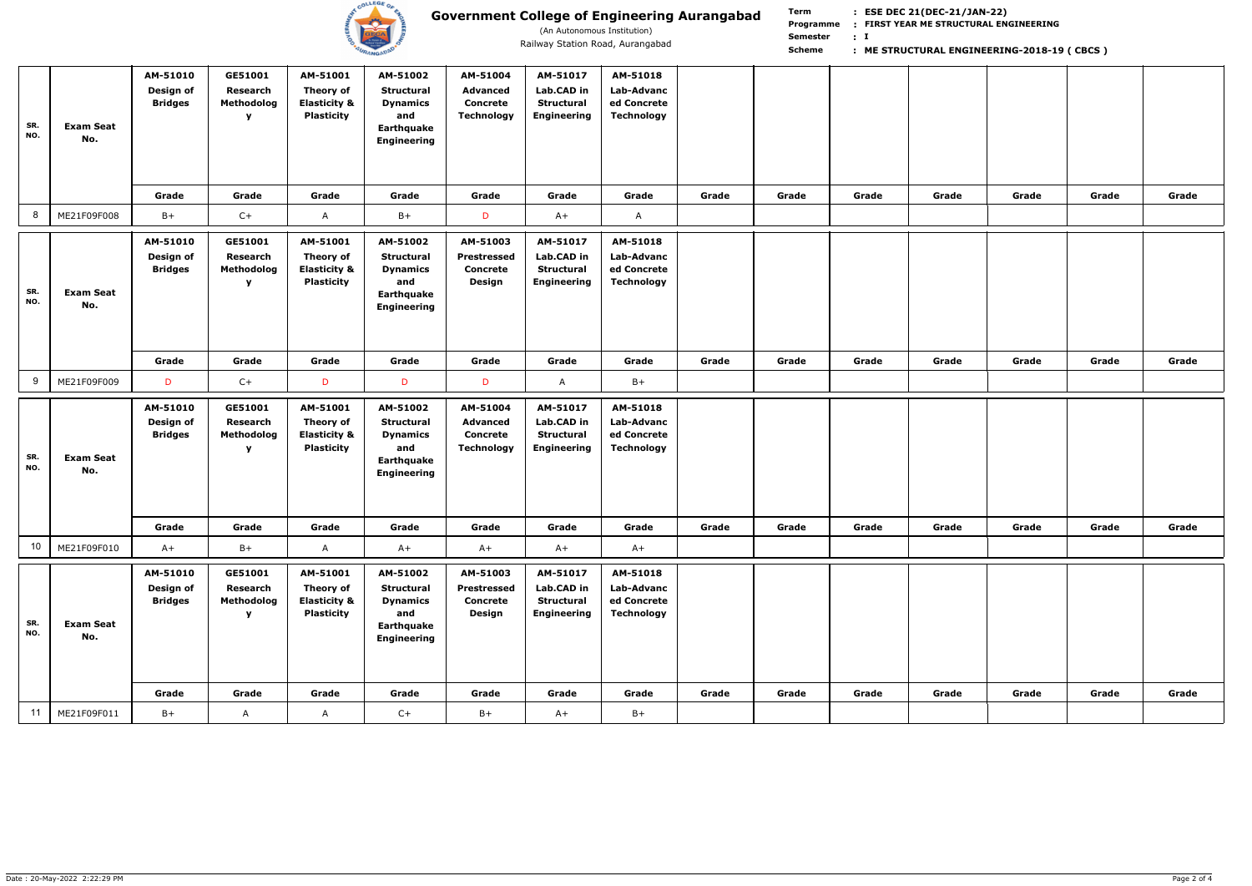

(An Autonomous Institution)

|            |                         | AM-51010                                | GE51001                                           | AM-51001                                                                     | AM-51002                                                                                    | AM-51004                                                     | AM-51017                                                          | AM-51018                                                   |       |       |       |       |       |       |       |
|------------|-------------------------|-----------------------------------------|---------------------------------------------------|------------------------------------------------------------------------------|---------------------------------------------------------------------------------------------|--------------------------------------------------------------|-------------------------------------------------------------------|------------------------------------------------------------|-------|-------|-------|-------|-------|-------|-------|
| SR.<br>NO. | <b>Exam Seat</b><br>No. | Design of<br><b>Bridges</b>             | Research<br>Methodolog<br>$\mathbf v$             | <b>Theory of</b><br><b>Elasticity &amp;</b><br><b>Plasticity</b>             | <b>Structural</b><br><b>Dynamics</b><br>and<br>Earthquake<br><b>Engineering</b>             | <b>Advanced</b><br><b>Concrete</b><br><b>Technology</b>      | Lab.CAD in<br>Structural<br><b>Engineering</b>                    | Lab-Advanc<br>ed Concrete<br><b>Technology</b>             |       |       |       |       |       |       |       |
|            |                         | Grade                                   | Grade                                             | Grade                                                                        | Grade                                                                                       | Grade                                                        | Grade                                                             | Grade                                                      | Grade | Grade | Grade | Grade | Grade | Grade | Grade |
| 8          | ME21F09F008             | $B+$                                    | $C+$                                              | $\mathsf{A}$                                                                 | $B+$                                                                                        | D                                                            | $A+$                                                              | $\mathsf{A}$                                               |       |       |       |       |       |       |       |
| SR.<br>NO. | <b>Exam Seat</b><br>No. | AM-51010<br>Design of<br><b>Bridges</b> | GE51001<br>Research<br>Methodolog<br>$\mathbf{v}$ | AM-51001<br>Theory of<br><b>Elasticity &amp;</b><br><b>Plasticity</b>        | AM-51002<br><b>Structural</b><br><b>Dynamics</b><br>and<br>Earthquake<br><b>Engineering</b> | AM-51003<br><b>Prestressed</b><br><b>Concrete</b><br>Design  | AM-51017<br>Lab.CAD in<br><b>Structural</b><br><b>Engineering</b> | AM-51018<br>Lab-Advanc<br>ed Concrete<br><b>Technology</b> |       |       |       |       |       |       |       |
|            |                         | Grade                                   | Grade                                             | Grade                                                                        | Grade                                                                                       | Grade                                                        | Grade                                                             | Grade                                                      | Grade | Grade | Grade | Grade | Grade | Grade | Grade |
| 9          | ME21F09F009             | D                                       | $C+$                                              | D                                                                            | D                                                                                           | D                                                            | $\mathsf{A}$                                                      | $B+$                                                       |       |       |       |       |       |       |       |
|            |                         |                                         |                                                   |                                                                              |                                                                                             |                                                              |                                                                   |                                                            |       |       |       |       |       |       |       |
| SR.<br>NO. | <b>Exam Seat</b><br>No. | AM-51010<br>Design of<br><b>Bridges</b> | GE51001<br>Research<br>Methodolog<br>$\mathbf v$  | AM-51001<br><b>Theory of</b><br><b>Elasticity &amp;</b><br><b>Plasticity</b> | AM-51002<br><b>Structural</b><br><b>Dynamics</b><br>and<br>Earthquake<br><b>Engineering</b> | AM-51004<br><b>Advanced</b><br><b>Concrete</b><br>Technology | AM-51017<br>Lab.CAD in<br><b>Structural</b><br>Engineering        | AM-51018<br>Lab-Advanc<br>ed Concrete<br><b>Technology</b> |       |       |       |       |       |       |       |
|            |                         | Grade                                   | Grade                                             | Grade                                                                        | Grade                                                                                       | Grade                                                        | Grade                                                             | Grade                                                      | Grade | Grade | Grade | Grade | Grade | Grade | Grade |
| 10         | ME21F09F010             | $A+$                                    | $B+$                                              | $\mathsf{A}$                                                                 | $A+$                                                                                        | $A+$                                                         | $A+$                                                              | $A+$                                                       |       |       |       |       |       |       |       |
| SR.<br>NO. | <b>Exam Seat</b><br>No. | AM-51010<br>Design of<br><b>Bridges</b> | GE51001<br>Research<br>Methodolog<br>$\mathbf v$  | AM-51001<br><b>Theory of</b><br><b>Elasticity &amp;</b><br><b>Plasticity</b> | AM-51002<br><b>Structural</b><br><b>Dynamics</b><br>and<br>Earthquake<br><b>Engineering</b> | AM-51003<br><b>Prestressed</b><br><b>Concrete</b><br>Design  | AM-51017<br>Lab.CAD in<br>Structural<br><b>Engineering</b>        | AM-51018<br>Lab-Advanc<br>ed Concrete<br><b>Technology</b> |       |       |       |       |       |       |       |
| 11         | ME21F09F011             | Grade<br>$B+$                           | Grade<br>A                                        | Grade<br>$\mathsf{A}$                                                        | Grade<br>$C+$                                                                               | Grade<br>$B+$                                                | Grade<br>$A+$                                                     | Grade<br>$B+$                                              | Grade | Grade | Grade | Grade | Grade | Grade | Grade |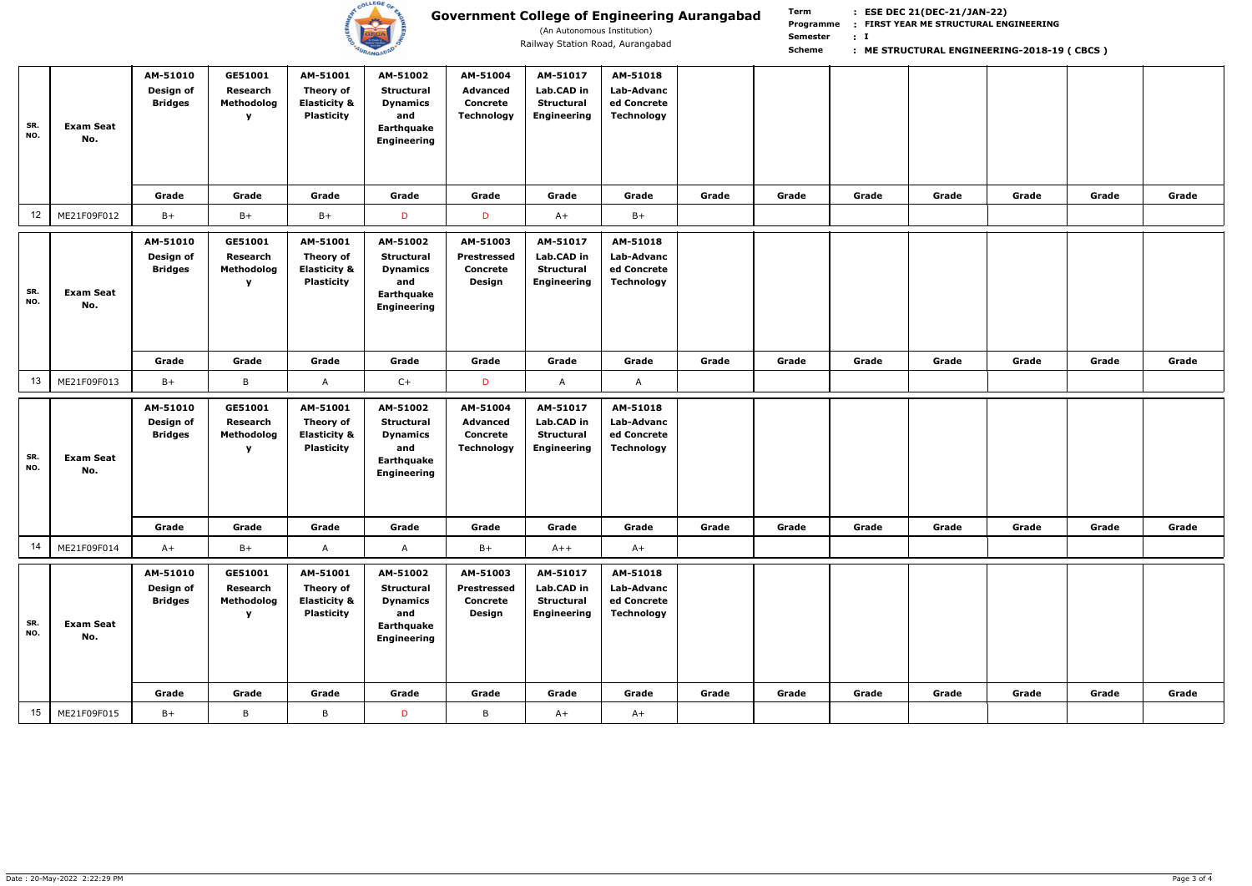

(An Autonomous Institution)

| SR.<br>NO.      | <b>Exam Seat</b><br>No. | AM-51010<br>Design of<br><b>Bridges</b> | GE51001<br>Research<br>Methodolog<br>v        | AM-51001<br>Theory of<br><b>Elasticity &amp;</b><br><b>Plasticity</b>        | AM-51002<br><b>Structural</b><br><b>Dynamics</b><br>and<br>Earthquake<br><b>Engineering</b> | AM-51004<br><b>Advanced</b><br><b>Concrete</b><br><b>Technology</b> | AM-51017<br>Lab.CAD in<br><b>Structural</b><br><b>Engineering</b> | AM-51018<br><b>Lab-Advanc</b><br>ed Concrete<br><b>Technology</b> |       |       |       |       |       |       |       |
|-----------------|-------------------------|-----------------------------------------|-----------------------------------------------|------------------------------------------------------------------------------|---------------------------------------------------------------------------------------------|---------------------------------------------------------------------|-------------------------------------------------------------------|-------------------------------------------------------------------|-------|-------|-------|-------|-------|-------|-------|
|                 |                         | Grade                                   | Grade                                         | Grade                                                                        | Grade                                                                                       | Grade                                                               | Grade                                                             | Grade                                                             | Grade | Grade | Grade | Grade | Grade | Grade | Grade |
| 12 <sub>2</sub> | ME21F09F012             | $B+$                                    | $B+$                                          | $B+$                                                                         | D                                                                                           | D                                                                   | $A+$                                                              | $B+$                                                              |       |       |       |       |       |       |       |
| SR.<br>NO.      | <b>Exam Seat</b><br>No. | AM-51010<br>Design of<br><b>Bridges</b> | GE51001<br>Research<br>Methodolog<br>Y        | AM-51001<br><b>Theory of</b><br><b>Elasticity &amp;</b><br><b>Plasticity</b> | AM-51002<br><b>Structural</b><br><b>Dynamics</b><br>and<br>Earthquake<br>Engineering        | AM-51003<br><b>Prestressed</b><br><b>Concrete</b><br><b>Design</b>  | AM-51017<br>Lab.CAD in<br><b>Structural</b><br><b>Engineering</b> | AM-51018<br><b>Lab-Advanc</b><br>ed Concrete<br><b>Technology</b> |       |       |       |       |       |       |       |
|                 |                         | Grade                                   | Grade                                         | Grade                                                                        | Grade                                                                                       | Grade                                                               | Grade                                                             | Grade                                                             | Grade | Grade | Grade | Grade | Grade | Grade | Grade |
| 13              | ME21F09F013             | $B+$                                    | B                                             | A                                                                            | $C+$                                                                                        | D                                                                   | $\mathsf{A}$                                                      | $\mathsf{A}$                                                      |       |       |       |       |       |       |       |
|                 |                         | AM-51010<br>Design of<br><b>Bridges</b> | GE51001<br>Research<br>Methodolog             | AM-51001<br>Theory of                                                        | AM-51002<br><b>Structural</b>                                                               | AM-51004<br><b>Advanced</b>                                         | AM-51017<br>Lab.CAD in                                            | AM-51018<br>Lab-Advanc                                            |       |       |       |       |       |       |       |
| SR.<br>NO.      | <b>Exam Seat</b><br>No. |                                         | Y                                             | <b>Elasticity &amp;</b><br><b>Plasticity</b>                                 | <b>Dynamics</b><br>and<br>Earthquake<br><b>Engineering</b>                                  | <b>Concrete</b><br><b>Technology</b>                                | <b>Structural</b><br><b>Engineering</b>                           | ed Concrete<br><b>Technology</b>                                  |       |       |       |       |       |       |       |
|                 |                         | Grade                                   | Grade                                         | Grade                                                                        | Grade                                                                                       | Grade                                                               | Grade                                                             | Grade                                                             | Grade | Grade | Grade | Grade | Grade | Grade | Grade |
| 14              | ME21F09F014             | $A+$                                    | $B+$                                          | A                                                                            | A                                                                                           | $B+$                                                                | $A++$                                                             | $A+$                                                              |       |       |       |       |       |       |       |
| SR.<br>NO.      | <b>Exam Seat</b><br>No. | AM-51010<br>Design of<br><b>Bridges</b> | GE51001<br>Research<br>Methodolog<br><b>Y</b> | AM-51001<br>Theory of<br><b>Elasticity &amp;</b><br><b>Plasticity</b>        | AM-51002<br><b>Structural</b><br><b>Dynamics</b><br>and<br>Earthquake<br><b>Engineering</b> | AM-51003<br><b>Prestressed</b><br><b>Concrete</b><br>Design         | AM-51017<br>Lab.CAD in<br><b>Structural</b><br><b>Engineering</b> | AM-51018<br>Lab-Advanc<br>ed Concrete<br><b>Technology</b>        |       |       |       |       |       |       |       |
| 15              | ME21F09F015             | Grade<br>$B+$                           | Grade<br>$\, {\sf B}$                         | Grade<br>$\, {\sf B} \,$                                                     | Grade                                                                                       | Grade<br>B                                                          | Grade                                                             | Grade<br>$A+$                                                     | Grade | Grade | Grade | Grade | Grade | Grade | Grade |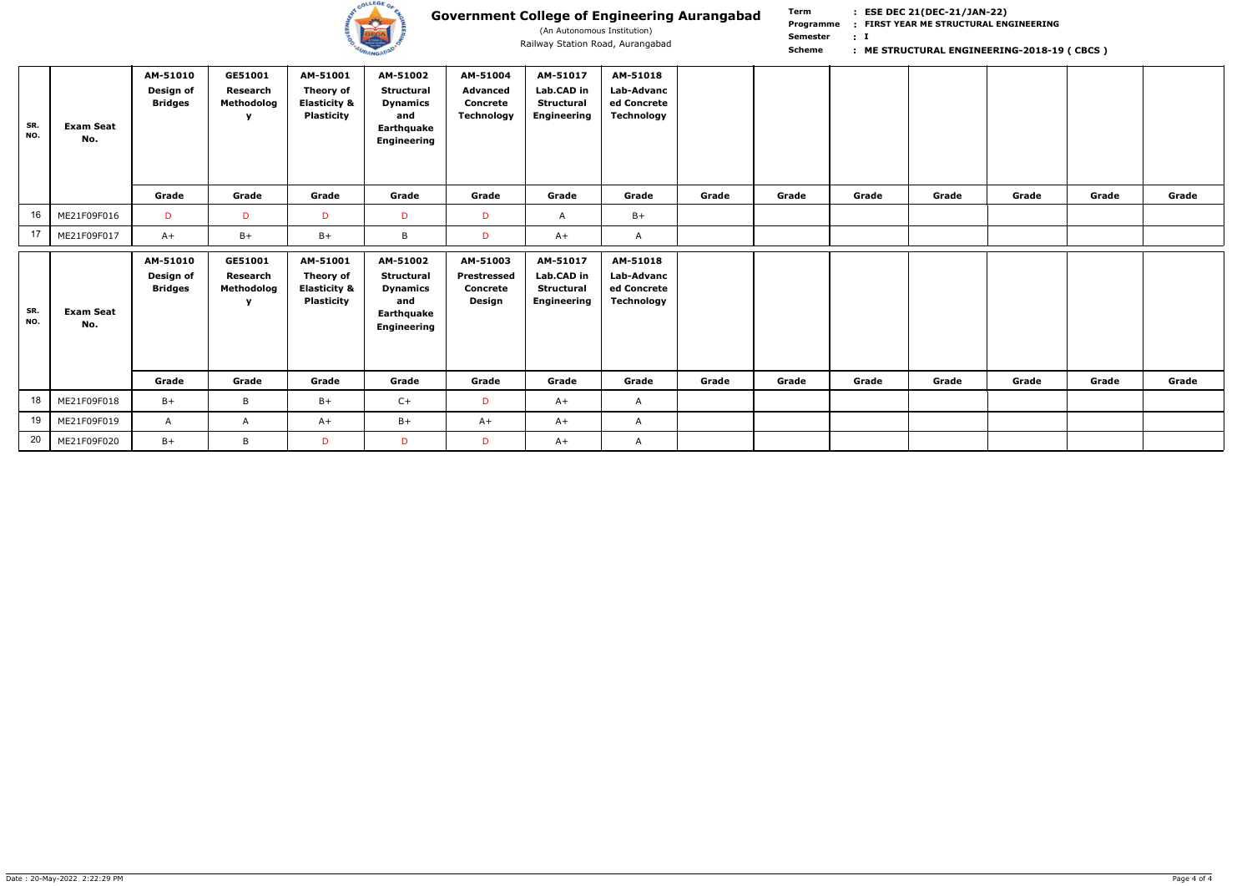

(An Autonomous Institution)

| SR.<br>NO. | <b>Exam Seat</b><br>No. | AM-51010<br>Design of<br><b>Bridges</b> | GE51001<br>Research<br>Methodolog<br>v | AM-51001<br><b>Theory of</b><br><b>Elasticity &amp;</b><br><b>Plasticity</b> | AM-51002<br><b>Structural</b><br><b>Dynamics</b><br>and<br>Earthquake<br><b>Engineering</b> | AM-51004<br><b>Advanced</b><br><b>Concrete</b><br><b>Technology</b> | AM-51017<br>Lab.CAD in<br><b>Structural</b><br><b>Engineering</b> | AM-51018<br>Lab-Advanc<br>ed Concrete<br><b>Technology</b> |       |       |       |       |       |       |       |
|------------|-------------------------|-----------------------------------------|----------------------------------------|------------------------------------------------------------------------------|---------------------------------------------------------------------------------------------|---------------------------------------------------------------------|-------------------------------------------------------------------|------------------------------------------------------------|-------|-------|-------|-------|-------|-------|-------|
|            |                         | Grade                                   | Grade                                  | Grade                                                                        | Grade                                                                                       | Grade                                                               | Grade                                                             | Grade                                                      | Grade | Grade | Grade | Grade | Grade | Grade | Grade |
| 16         | ME21F09F016             | D                                       | D                                      | D                                                                            | D                                                                                           | D                                                                   | A                                                                 | $B+$                                                       |       |       |       |       |       |       |       |
| 17         | ME21F09F017             | $A+$                                    | $B+$                                   | $B+$                                                                         | B                                                                                           | D                                                                   | $A+$                                                              | A                                                          |       |       |       |       |       |       |       |
| SR.<br>NO. | <b>Exam Seat</b><br>No. | AM-51010<br>Design of<br><b>Bridges</b> | GE51001<br>Research<br>Methodolog<br>v | AM-51001<br>Theory of<br><b>Elasticity &amp;</b><br><b>Plasticity</b>        | AM-51002<br><b>Structural</b><br><b>Dynamics</b><br>and<br>Earthquake<br><b>Engineering</b> | AM-51003<br><b>Prestressed</b><br><b>Concrete</b><br>Design         | AM-51017<br>Lab.CAD in<br><b>Structural</b><br><b>Engineering</b> | AM-51018<br>Lab-Advanc<br>ed Concrete<br><b>Technology</b> |       |       |       |       |       |       |       |
|            |                         | Grade                                   | Grade                                  | Grade                                                                        | Grade                                                                                       | Grade                                                               | Grade                                                             | Grade                                                      | Grade | Grade | Grade | Grade | Grade | Grade | Grade |
| 18         | ME21F09F018             | $B+$                                    | $\mathsf B$                            | $B+$                                                                         | $C+$                                                                                        | D                                                                   | $A+$                                                              | $\mathsf{A}$                                               |       |       |       |       |       |       |       |
| 19         | ME21F09F019             | $\mathsf{A}$                            | $\mathsf{A}$                           | $A+$                                                                         | $B+$                                                                                        | $A+$                                                                | $A+$                                                              | $\mathsf{A}$                                               |       |       |       |       |       |       |       |
| 20         | ME21F09F020             | $B+$                                    | B                                      | D                                                                            | D                                                                                           | D                                                                   | $A+$                                                              | A                                                          |       |       |       |       |       |       |       |